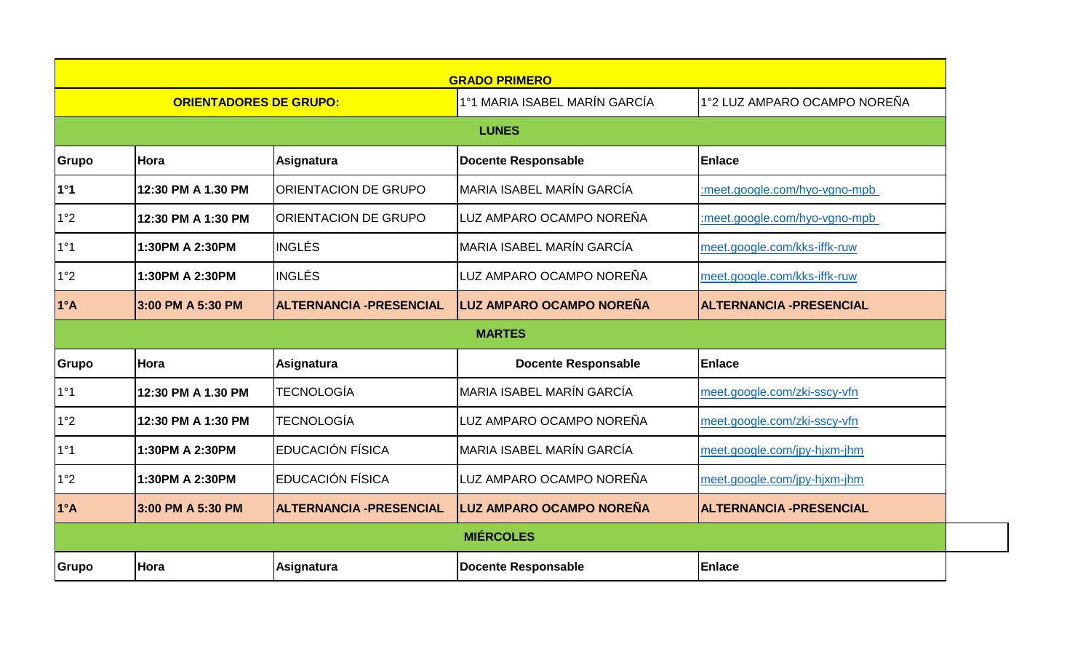| <b>GRADO PRIMERO</b>          |                    |                                |                                 |                                 |  |  |  |  |
|-------------------------------|--------------------|--------------------------------|---------------------------------|---------------------------------|--|--|--|--|
| <b>ORIENTADORES DE GRUPO:</b> |                    |                                | 1°1 MARIA ISABEL MARÍN GARCÍA   | 1°2 LUZ AMPARO OCAMPO NOREÑA    |  |  |  |  |
| <b>LUNES</b>                  |                    |                                |                                 |                                 |  |  |  |  |
| Grupo                         | lHora              | <b>Asignatura</b>              | <b>Docente Responsable</b>      | Enlace                          |  |  |  |  |
| 1°1                           | 12:30 PM A 1.30 PM | <b>ORIENTACION DE GRUPO</b>    | MARIA ISABEL MARÍN GARCÍA       | :meet.google.com/hyo-vgno-mpb   |  |  |  |  |
| 1°2                           | 12:30 PM A 1:30 PM | <b>ORIENTACION DE GRUPO</b>    | LUZ AMPARO OCAMPO NOREÑA        | :meet.google.com/hyo-vgno-mpb   |  |  |  |  |
| 1°1                           | 1:30PM A 2:30PM    | <b>INGLÉS</b>                  | MARIA ISABEL MARÍN GARCÍA       | meet.google.com/kks-iffk-ruw    |  |  |  |  |
| 1°2                           | 1:30PM A 2:30PM    | <b>INGLÉS</b>                  | LUZ AMPARO OCAMPO NOREÑA        | meet.google.com/kks-iffk-ruw    |  |  |  |  |
| $1^{\circ}$ A                 | 3:00 PM A 5:30 PM  | <b>ALTERNANCIA -PRESENCIAL</b> | <b>LUZ AMPARO OCAMPO NOREÑA</b> | <b>ALTERNANCIA - PRESENCIAL</b> |  |  |  |  |
| <b>MARTES</b>                 |                    |                                |                                 |                                 |  |  |  |  |
| Grupo                         | lHora              | Asignatura                     | <b>Docente Responsable</b>      | <b>Enlace</b>                   |  |  |  |  |
| 1°1                           | 12:30 PM A 1.30 PM | <b>TECNOLOGÍA</b>              | MARIA ISABEL MARÍN GARCÍA       | meet.google.com/zki-sscy-vfn    |  |  |  |  |
| 1°2                           | 12:30 PM A 1:30 PM | <b>TECNOLOGÍA</b>              | LUZ AMPARO OCAMPO NOREÑA        | meet.google.com/zki-sscy-vfn    |  |  |  |  |
| 1°1                           | 1:30PM A 2:30PM    | EDUCACIÓN FÍSICA               | MARIA ISABEL MARÍN GARCÍA       | meet.google.com/jpy-hjxm-jhm    |  |  |  |  |
| 1°2                           | 1:30PM A 2:30PM    | EDUCACIÓN FÍSICA               | LUZ AMPARO OCAMPO NOREÑA        | meet.google.com/jpy-hjxm-jhm    |  |  |  |  |
| $1^{\circ}$ A                 | 3:00 PM A 5:30 PM  | ALTERNANCIA -PRESENCIAL        | <b>LUZ AMPARO OCAMPO NOREÑA</b> | <b>ALTERNANCIA - PRESENCIAL</b> |  |  |  |  |
| <b>MIÉRCOLES</b>              |                    |                                |                                 |                                 |  |  |  |  |
| <b>Grupo</b>                  | <b>Hora</b>        | <b>Asignatura</b>              | <b>Docente Responsable</b>      | Enlace                          |  |  |  |  |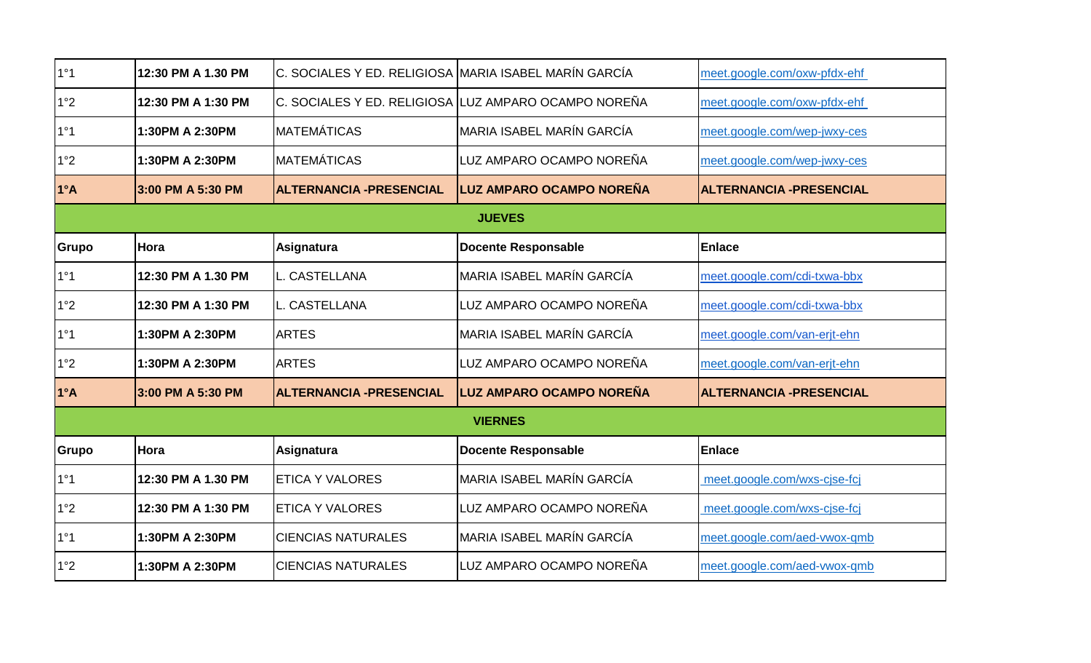| 1°1          | 12:30 PM A 1.30 PM | C. SOCIALES Y ED. RELIGIOSA MARIA ISABEL MARÍN GARCÍA |                                                      | meet.google.com/oxw-pfdx-ehf    |
|--------------|--------------------|-------------------------------------------------------|------------------------------------------------------|---------------------------------|
| 1°2          | 12:30 PM A 1:30 PM |                                                       | C. SOCIALES Y ED. RELIGIOSA LUZ AMPARO OCAMPO NOREÑA | meet.google.com/oxw-pfdx-ehf    |
| 1°1          | 1:30PM A 2:30PM    | IMATEMÁTICAS                                          | MARIA ISABEL MARÍN GARCÍA                            | meet.google.com/wep-jwxy-ces    |
| 1°2          | 1:30PM A 2:30PM    | IMATEMÁTICAS                                          | LUZ AMPARO OCAMPO NOREÑA                             | meet.google.com/wep-jwxy-ces    |
| $1^{\circ}A$ | 3:00 PM A 5:30 PM  | <b>ALTERNANCIA - PRESENCIAL</b>                       | LUZ AMPARO OCAMPO NOREÑA                             | <b>ALTERNANCIA -PRESENCIAL</b>  |
|              |                    |                                                       | <b>JUEVES</b>                                        |                                 |
| Grupo        | Hora               | Asignatura                                            | Docente Responsable                                  | <b>Enlace</b>                   |
| 1°1          | 12:30 PM A 1.30 PM | <b>I</b> L. CASTELLANA                                | MARIA ISABEL MARÍN GARCÍA                            | meet.google.com/cdi-txwa-bbx    |
| 1°2          | 12:30 PM A 1:30 PM | <b>L. CASTELLANA</b>                                  | LUZ AMPARO OCAMPO NOREÑA                             | meet.google.com/cdi-txwa-bbx    |
| 1°1          | 1:30PM A 2:30PM    | <b>ARTES</b>                                          | IMARIA ISABEL MARÍN GARCÍA                           | meet.google.com/van-erjt-ehn    |
| 1°2          | 1:30PM A 2:30PM    | <b>ARTES</b>                                          | LUZ AMPARO OCAMPO NOREÑA                             | meet.google.com/van-erjt-ehn    |
| $1^{\circ}A$ | 3:00 PM A 5:30 PM  | ALTERNANCIA - PRESENCIAL                              | LUZ AMPARO OCAMPO NOREÑA                             | <b>ALTERNANCIA - PRESENCIAL</b> |
|              |                    |                                                       | <b>VIERNES</b>                                       |                                 |
| Grupo        | Hora               | Asignatura                                            | Docente Responsable                                  | Enlace                          |
| 1°1          | 12:30 PM A 1.30 PM | <b>ETICA Y VALORES</b>                                | MARIA ISABEL MARÍN GARCÍA                            | meet.google.com/wxs-cjse-fcj    |
| 1°2          | 12:30 PM A 1:30 PM | <b>ETICA Y VALORES</b>                                | ILUZ AMPARO OCAMPO NOREÑA                            | meet.google.com/wxs-cjse-fcj    |
| 1°1          | 1:30PM A 2:30PM    | <b>CIENCIAS NATURALES</b>                             | MARIA ISABEL MARÍN GARCÍA                            | meet.google.com/aed-vwox-qmb    |
| 1°2          | 1:30PM A 2:30PM    | <b>CIENCIAS NATURALES</b>                             | LUZ AMPARO OCAMPO NOREÑA                             | meet.google.com/aed-vwox-qmb    |
|              |                    |                                                       |                                                      |                                 |